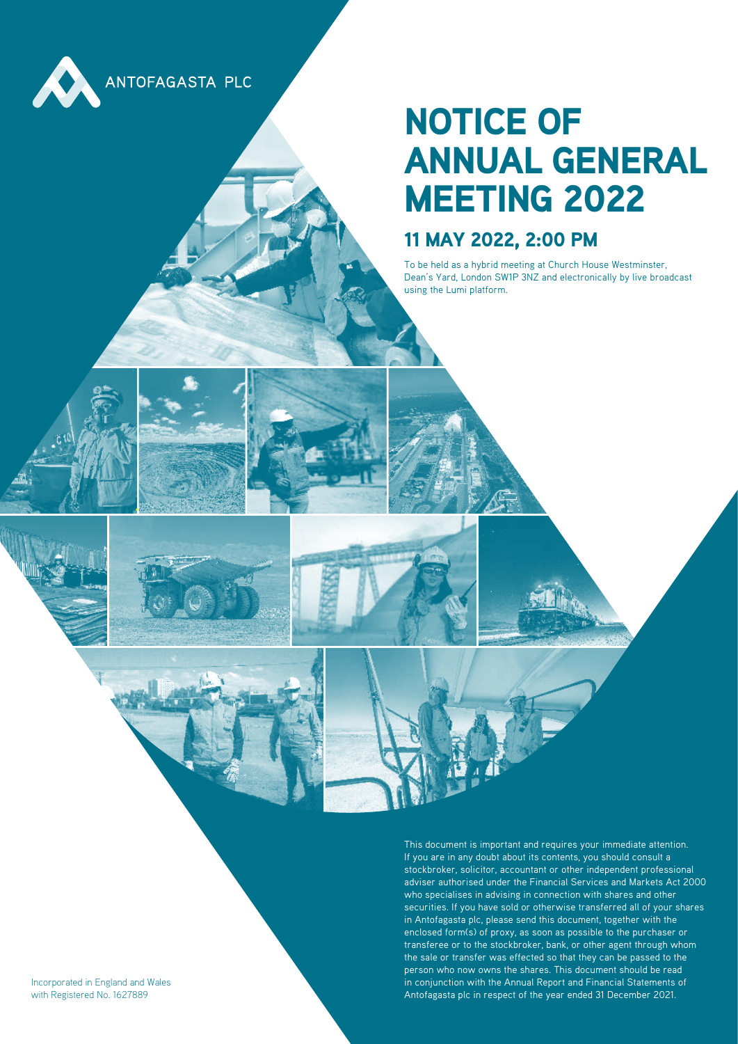

### NOTICE OF ANNUAL GENERAL MEETING 2022

### 11 MAY 2022, 2:00 PM

To be held as a hybrid meeting at Church House Westminster, Dean's Yard, London SW1P 3NZ and electronically by live broadcast using the Lumi platform.

Incorporated in England and Wales with Registered No. 1627889

This document is important and requires your immediate attention. If you are in any doubt about its contents, you should consult a stockbroker, solicitor, accountant or other independent professional adviser authorised under the Financial Services and Markets Act 2000 who specialises in advising in connection with shares and other securities. If you have sold or otherwise transferred all of your shares in Antofagasta plc, please send this document, together with the enclosed form(s) of proxy, as soon as possible to the purchaser or transferee or to the stockbroker, bank, or other agent through whom the sale or transfer was effected so that they can be passed to the person who now owns the shares. This document should be read in conjunction with the Annual Report and Financial Statements of Antofagasta plc in respect of the year ended 31 December 2021.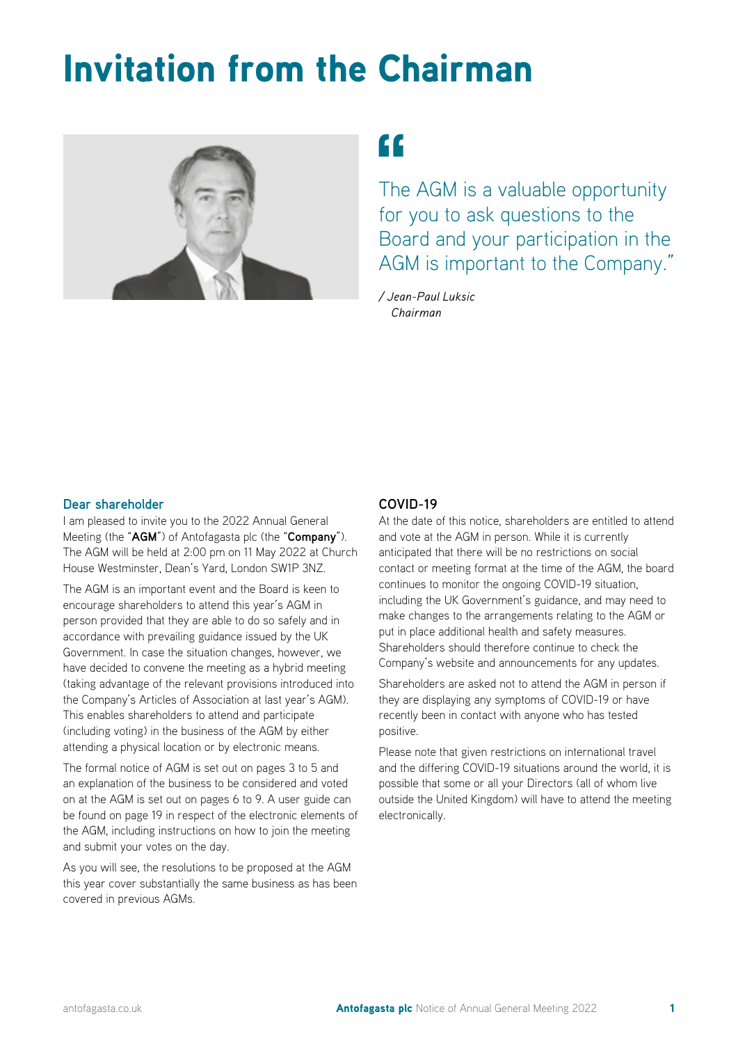### Invitation from the Chairman



### ££

The AGM is a valuable opportunity for you to ask questions to the Board and your participation in the AGM is important to the Company."

*/ Jean-Paul Luksic Chairman*

#### **Dear shareholder**

I am pleased to invite you to the 2022 Annual General Meeting (the "**AGM**") of Antofagasta plc (the "**Company**"). The AGM will be held at 2:00 pm on 11 May 2022 at Church House Westminster, Dean's Yard, London SW1P 3NZ.

The AGM is an important event and the Board is keen to encourage shareholders to attend this year's AGM in person provided that they are able to do so safely and in accordance with prevailing guidance issued by the UK Government. In case the situation changes, however, we have decided to convene the meeting as a hybrid meeting (taking advantage of the relevant provisions introduced into the Company's Articles of Association at last year's AGM). This enables shareholders to attend and participate (including voting) in the business of the AGM by either attending a physical location or by electronic means.

The formal notice of AGM is set out on pages 3 to 5 and an explanation of the business to be considered and voted on at the AGM is set out on pages 6 to 9. A user guide can be found on page 19 in respect of the electronic elements of the AGM, including instructions on how to join the meeting and submit your votes on the day.

As you will see, the resolutions to be proposed at the AGM this year cover substantially the same business as has been covered in previous AGMs.

#### **COVID-19**

At the date of this notice, shareholders are entitled to attend and vote at the AGM in person. While it is currently anticipated that there will be no restrictions on social contact or meeting format at the time of the AGM, the board continues to monitor the ongoing COVID-19 situation, including the UK Government's guidance, and may need to make changes to the arrangements relating to the AGM or put in place additional health and safety measures. Shareholders should therefore continue to check the Company's website and announcements for any updates.

Shareholders are asked not to attend the AGM in person if they are displaying any symptoms of COVID-19 or have recently been in contact with anyone who has tested positive.

Please note that given restrictions on international travel and the differing COVID-19 situations around the world, it is possible that some or all your Directors (all of whom live outside the United Kingdom) will have to attend the meeting electronically.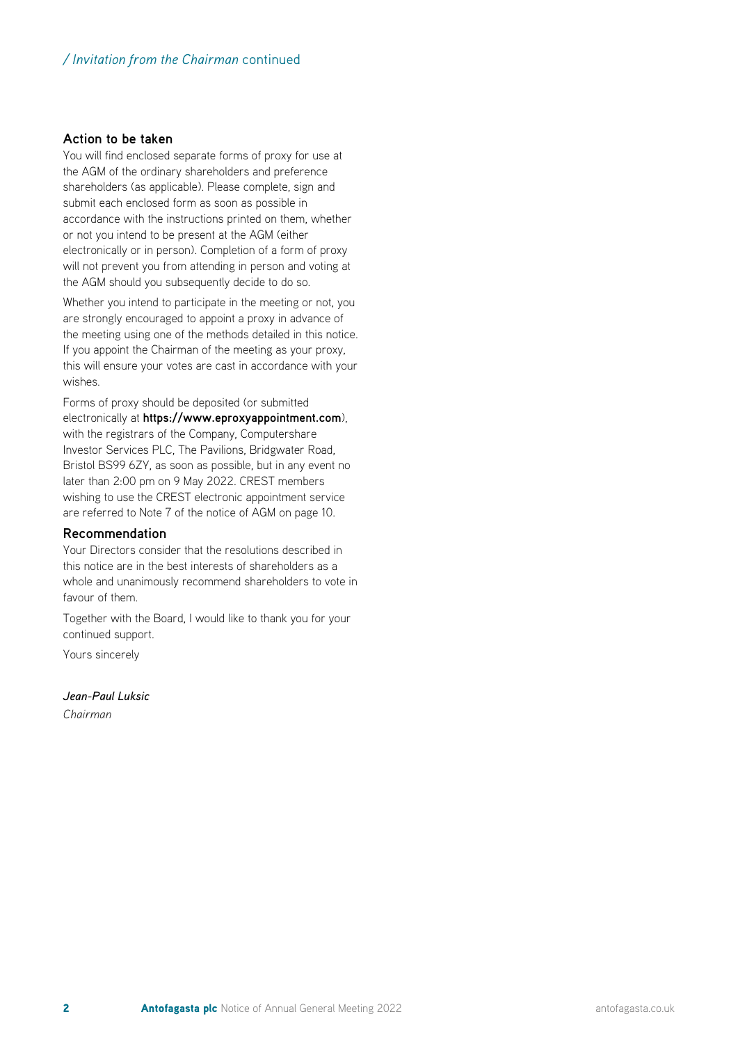#### **Action to be taken**

You will find enclosed separate forms of proxy for use at the AGM of the ordinary shareholders and preference shareholders (as applicable). Please complete, sign and submit each enclosed form as soon as possible in accordance with the instructions printed on them, whether or not you intend to be present at the AGM (either electronically or in person). Completion of a form of proxy will not prevent you from attending in person and voting at the AGM should you subsequently decide to do so.

Whether you intend to participate in the meeting or not, you are strongly encouraged to appoint a proxy in advance of the meeting using one of the methods detailed in this notice. If you appoint the Chairman of the meeting as your proxy, this will ensure your votes are cast in accordance with your wishes.

Forms of proxy should be deposited (or submitted electronically at **https://www.eproxyappointment.com**), with the registrars of the Company, Computershare Investor Services PLC, The Pavilions, Bridgwater Road, Bristol BS99 6ZY, as soon as possible, but in any event no later than 2:00 pm on 9 May 2022. CREST members wishing to use the CREST electronic appointment service are referred to Note 7 of the notice of AGM on page 10.

#### **Recommendation**

Your Directors consider that the resolutions described in this notice are in the best interests of shareholders as a whole and unanimously recommend shareholders to vote in favour of them.

Together with the Board, I would like to thank you for your continued support.

Yours sincerely

*Jean-Paul Luksic*

*Chairman*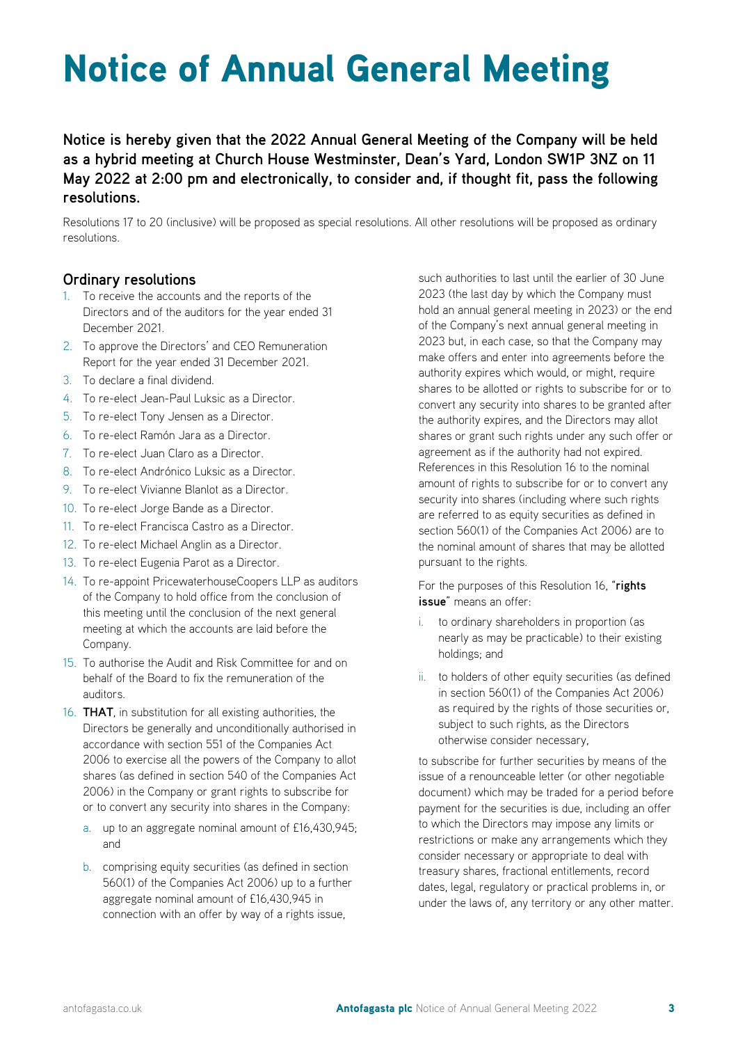## Notice of Annual General Meeting

**Notice is hereby given that the 2022 Annual General Meeting of the Company will be held as a hybrid meeting at Church House Westminster, Dean's Yard, London SW1P 3NZ on 11 May 2022 at 2:00 pm and electronically, to consider and, if thought fit, pass the following resolutions.**

Resolutions 17 to 20 (inclusive) will be proposed as special resolutions. All other resolutions will be proposed as ordinary resolutions.

#### **Ordinary resolutions**

- 1. To receive the accounts and the reports of the Directors and of the auditors for the year ended 31 December 2021.
- 2. To approve the Directors' and CEO Remuneration Report for the year ended 31 December 2021.
- 3. To declare a final dividend.
- 4. To re-elect Jean-Paul Luksic as a Director.
- 5. To re-elect Tony Jensen as a Director.
- 6. To re-elect Ramón Jara as a Director.
- 7. To re-elect Juan Claro as a Director.
- 8. To re-elect Andrónico Luksic as a Director.
- 9. To re-elect Vivianne Blanlot as a Director.
- 10. To re-elect Jorge Bande as a Director.
- 11. To re-elect Francisca Castro as a Director.
- 12. To re-elect Michael Anglin as a Director.
- 13. To re-elect Eugenia Parot as a Director.
- 14. To re-appoint PricewaterhouseCoopers LLP as auditors of the Company to hold office from the conclusion of this meeting until the conclusion of the next general meeting at which the accounts are laid before the Company.
- 15. To authorise the Audit and Risk Committee for and on behalf of the Board to fix the remuneration of the auditors.
- 16. **THAT**, in substitution for all existing authorities, the Directors be generally and unconditionally authorised in accordance with section 551 of the Companies Act 2006 to exercise all the powers of the Company to allot shares (as defined in section 540 of the Companies Act 2006) in the Company or grant rights to subscribe for or to convert any security into shares in the Company:
	- a. up to an aggregate nominal amount of £16,430,945; and
	- b. comprising equity securities (as defined in section 560(1) of the Companies Act 2006) up to a further aggregate nominal amount of £16,430,945 in connection with an offer by way of a rights issue,

such authorities to last until the earlier of 30 June 2023 (the last day by which the Company must hold an annual general meeting in 2023) or the end of the Company's next annual general meeting in 2023 but, in each case, so that the Company may make offers and enter into agreements before the authority expires which would, or might, require shares to be allotted or rights to subscribe for or to convert any security into shares to be granted after the authority expires, and the Directors may allot shares or grant such rights under any such offer or agreement as if the authority had not expired. References in this Resolution 16 to the nominal amount of rights to subscribe for or to convert any security into shares (including where such rights are referred to as equity securities as defined in section 560(1) of the Companies Act 2006) are to the nominal amount of shares that may be allotted pursuant to the rights.

For the purposes of this Resolution 16, "**rights issue**" means an offer:

- i. to ordinary shareholders in proportion (as nearly as may be practicable) to their existing holdings; and
- ii. to holders of other equity securities (as defined in section 560(1) of the Companies Act 2006) as required by the rights of those securities or, subject to such rights, as the Directors otherwise consider necessary,

to subscribe for further securities by means of the issue of a renounceable letter (or other negotiable document) which may be traded for a period before payment for the securities is due, including an offer to which the Directors may impose any limits or restrictions or make any arrangements which they consider necessary or appropriate to deal with treasury shares, fractional entitlements, record dates, legal, regulatory or practical problems in, or under the laws of, any territory or any other matter.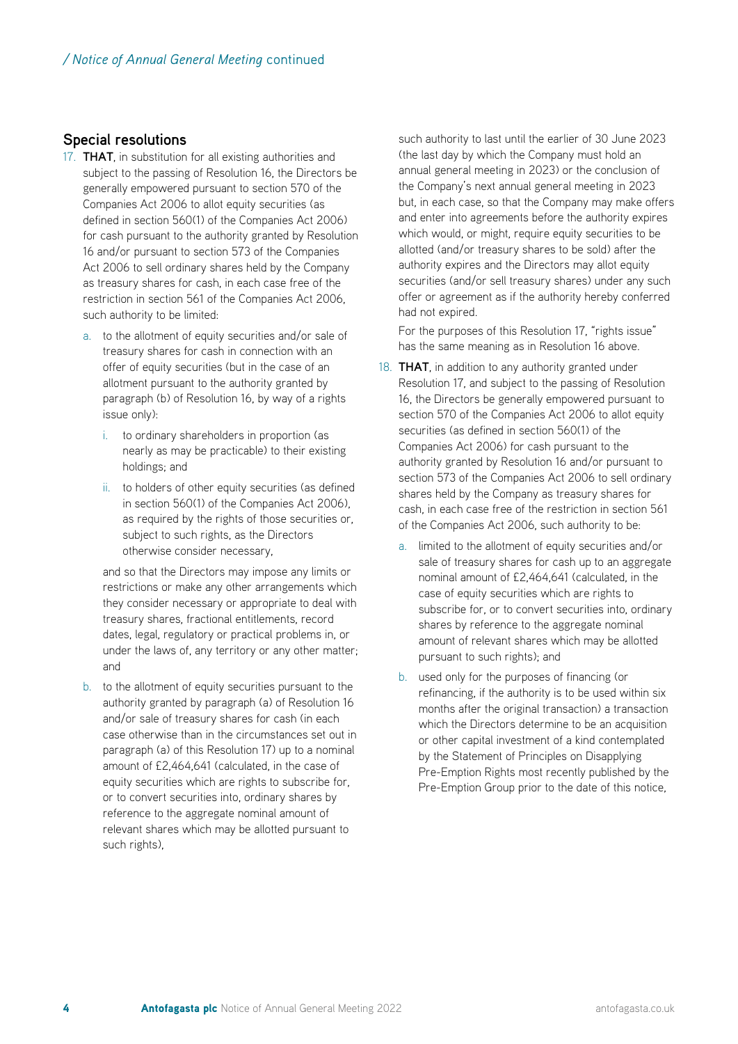#### **Special resolutions**

- 17. **THAT**, in substitution for all existing authorities and subject to the passing of Resolution 16, the Directors be generally empowered pursuant to section 570 of the Companies Act 2006 to allot equity securities (as defined in section 560(1) of the Companies Act 2006) for cash pursuant to the authority granted by Resolution 16 and/or pursuant to section 573 of the Companies Act 2006 to sell ordinary shares held by the Company as treasury shares for cash, in each case free of the restriction in section 561 of the Companies Act 2006, such authority to be limited:
	- a. to the allotment of equity securities and/or sale of treasury shares for cash in connection with an offer of equity securities (but in the case of an allotment pursuant to the authority granted by paragraph (b) of Resolution 16, by way of a rights issue only):
		- i. to ordinary shareholders in proportion (as nearly as may be practicable) to their existing holdings; and
		- ii. to holders of other equity securities (as defined in section 560(1) of the Companies Act 2006), as required by the rights of those securities or, subject to such rights, as the Directors otherwise consider necessary,

and so that the Directors may impose any limits or restrictions or make any other arrangements which they consider necessary or appropriate to deal with treasury shares, fractional entitlements, record dates, legal, regulatory or practical problems in, or under the laws of, any territory or any other matter; and

b. to the allotment of equity securities pursuant to the authority granted by paragraph (a) of Resolution 16 and/or sale of treasury shares for cash (in each case otherwise than in the circumstances set out in paragraph (a) of this Resolution 17) up to a nominal amount of £2,464,641 (calculated, in the case of equity securities which are rights to subscribe for, or to convert securities into, ordinary shares by reference to the aggregate nominal amount of relevant shares which may be allotted pursuant to such rights),

such authority to last until the earlier of 30 June 2023 (the last day by which the Company must hold an annual general meeting in 2023) or the conclusion of the Company's next annual general meeting in 2023 but, in each case, so that the Company may make offers and enter into agreements before the authority expires which would, or might, require equity securities to be allotted (and/or treasury shares to be sold) after the authority expires and the Directors may allot equity securities (and/or sell treasury shares) under any such offer or agreement as if the authority hereby conferred had not expired.

For the purposes of this Resolution 17, "rights issue" has the same meaning as in Resolution 16 above.

- 18. **THAT**, in addition to any authority granted under Resolution 17, and subject to the passing of Resolution 16, the Directors be generally empowered pursuant to section 570 of the Companies Act 2006 to allot equity securities (as defined in section 560(1) of the Companies Act 2006) for cash pursuant to the authority granted by Resolution 16 and/or pursuant to section 573 of the Companies Act 2006 to sell ordinary shares held by the Company as treasury shares for cash, in each case free of the restriction in section 561 of the Companies Act 2006, such authority to be:
	- a. limited to the allotment of equity securities and/or sale of treasury shares for cash up to an aggregate nominal amount of £2,464,641 (calculated, in the case of equity securities which are rights to subscribe for, or to convert securities into, ordinary shares by reference to the aggregate nominal amount of relevant shares which may be allotted pursuant to such rights); and
	- b. used only for the purposes of financing (or refinancing, if the authority is to be used within six months after the original transaction) a transaction which the Directors determine to be an acquisition or other capital investment of a kind contemplated by the Statement of Principles on Disapplying Pre-Emption Rights most recently published by the Pre-Emption Group prior to the date of this notice,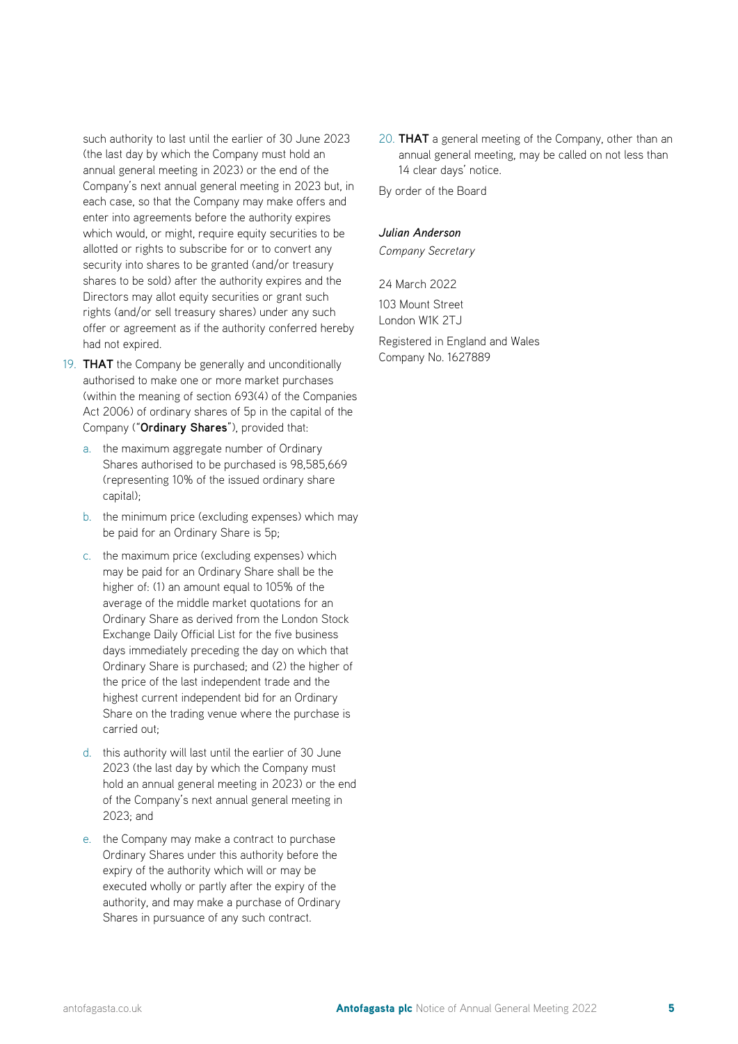such authority to last until the earlier of 30 June 2023 (the last day by which the Company must hold an annual general meeting in 2023) or the end of the Company's next annual general meeting in 2023 but, in each case, so that the Company may make offers and enter into agreements before the authority expires which would, or might, require equity securities to be allotted or rights to subscribe for or to convert any security into shares to be granted (and/or treasury shares to be sold) after the authority expires and the Directors may allot equity securities or grant such rights (and/or sell treasury shares) under any such offer or agreement as if the authority conferred hereby had not expired.

- 19. **THAT** the Company be generally and unconditionally authorised to make one or more market purchases (within the meaning of section 693(4) of the Companies Act 2006) of ordinary shares of 5p in the capital of the Company ("**Ordinary Shares**"), provided that:
	- a. the maximum aggregate number of Ordinary Shares authorised to be purchased is 98,585,669 (representing 10% of the issued ordinary share capital);
	- b. the minimum price (excluding expenses) which may be paid for an Ordinary Share is 5p;
	- c. the maximum price (excluding expenses) which may be paid for an Ordinary Share shall be the higher of: (1) an amount equal to 105% of the average of the middle market quotations for an Ordinary Share as derived from the London Stock Exchange Daily Official List for the five business days immediately preceding the day on which that Ordinary Share is purchased; and (2) the higher of the price of the last independent trade and the highest current independent bid for an Ordinary Share on the trading venue where the purchase is carried out;
	- d. this authority will last until the earlier of 30 June 2023 (the last day by which the Company must hold an annual general meeting in 2023) or the end of the Company's next annual general meeting in 2023; and
	- e. the Company may make a contract to purchase Ordinary Shares under this authority before the expiry of the authority which will or may be executed wholly or partly after the expiry of the authority, and may make a purchase of Ordinary Shares in pursuance of any such contract.

20. **THAT** a general meeting of the Company, other than an annual general meeting, may be called on not less than 14 clear days' notice.

By order of the Board

#### *Julian Anderson*

*Company Secretary*

24 March 2022

103 Mount Street London W1K 2TJ

Registered in England and Wales Company No. 1627889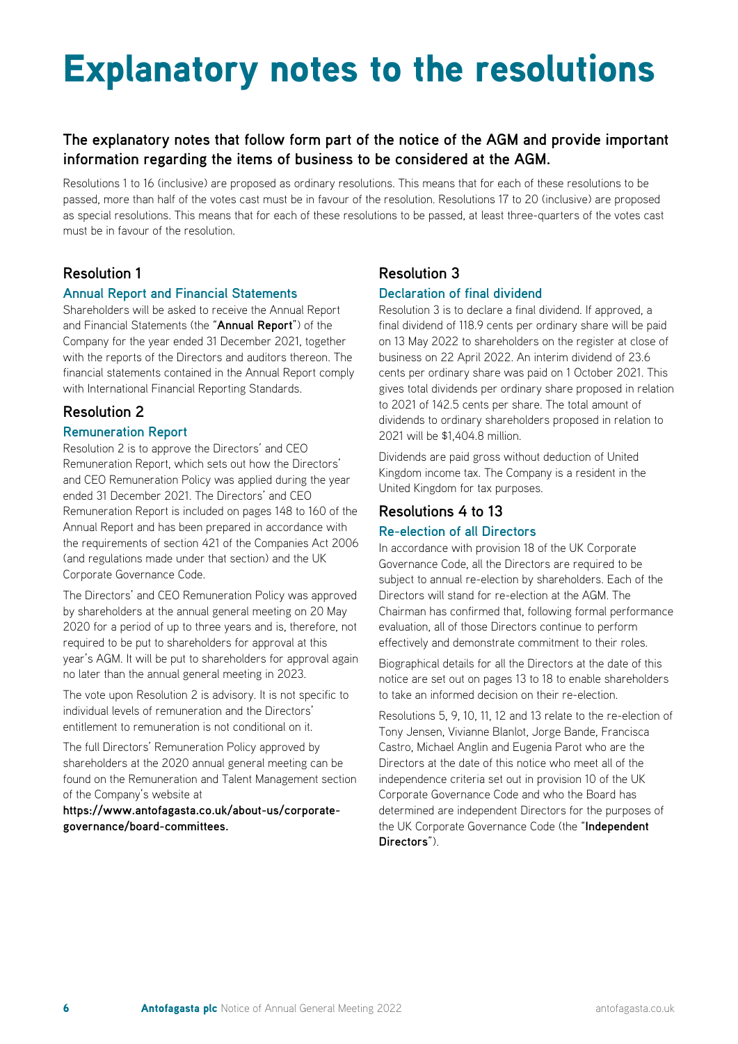### Explanatory notes to the resolutions

#### **The explanatory notes that follow form part of the notice of the AGM and provide important information regarding the items of business to be considered at the AGM.**

Resolutions 1 to 16 (inclusive) are proposed as ordinary resolutions. This means that for each of these resolutions to be passed, more than half of the votes cast must be in favour of the resolution. Resolutions 17 to 20 (inclusive) are proposed as special resolutions. This means that for each of these resolutions to be passed, at least three-quarters of the votes cast must be in favour of the resolution.

#### **Resolution 1**

#### **Annual Report and Financial Statements**

Shareholders will be asked to receive the Annual Report and Financial Statements (the "**Annual Report**") of the Company for the year ended 31 December 2021, together with the reports of the Directors and auditors thereon. The financial statements contained in the Annual Report comply with International Financial Reporting Standards.

#### **Resolution 2**

#### **Remuneration Report**

Resolution 2 is to approve the Directors' and CEO Remuneration Report, which sets out how the Directors' and CEO Remuneration Policy was applied during the year ended 31 December 2021. The Directors' and CEO Remuneration Report is included on pages 148 to 160 of the Annual Report and has been prepared in accordance with the requirements of section 421 of the Companies Act 2006 (and regulations made under that section) and the UK Corporate Governance Code.

The Directors' and CEO Remuneration Policy was approved by shareholders at the annual general meeting on 20 May 2020 for a period of up to three years and is, therefore, not required to be put to shareholders for approval at this year's AGM. It will be put to shareholders for approval again no later than the annual general meeting in 2023.

The vote upon Resolution 2 is advisory. It is not specific to individual levels of remuneration and the Directors' entitlement to remuneration is not conditional on it.

The full Directors' Remuneration Policy approved by shareholders at the 2020 annual general meeting can be found on the Remuneration and Talent Management section of the Company's website at

**https://www.antofagasta.co.uk/about-us/corporategovernance/board-committees.**

#### **Resolution 3**

#### **Declaration of final dividend**

Resolution 3 is to declare a final dividend. If approved, a final dividend of 118.9 cents per ordinary share will be paid on 13 May 2022 to shareholders on the register at close of business on 22 April 2022. An interim dividend of 23.6 cents per ordinary share was paid on 1 October 2021. This gives total dividends per ordinary share proposed in relation to 2021 of 142.5 cents per share. The total amount of dividends to ordinary shareholders proposed in relation to 2021 will be \$1,404.8 million.

Dividends are paid gross without deduction of United Kingdom income tax. The Company is a resident in the United Kingdom for tax purposes.

#### **Resolutions 4 to 13**

#### **Re-election of all Directors**

In accordance with provision 18 of the UK Corporate Governance Code, all the Directors are required to be subject to annual re-election by shareholders. Each of the Directors will stand for re-election at the AGM. The Chairman has confirmed that, following formal performance evaluation, all of those Directors continue to perform effectively and demonstrate commitment to their roles.

Biographical details for all the Directors at the date of this notice are set out on pages 13 to 18 to enable shareholders to take an informed decision on their re-election.

Resolutions 5, 9, 10, 11, 12 and 13 relate to the re-election of Tony Jensen, Vivianne Blanlot, Jorge Bande, Francisca Castro, Michael Anglin and Eugenia Parot who are the Directors at the date of this notice who meet all of the independence criteria set out in provision 10 of the UK Corporate Governance Code and who the Board has determined are independent Directors for the purposes of the UK Corporate Governance Code (the "**Independent Directors**").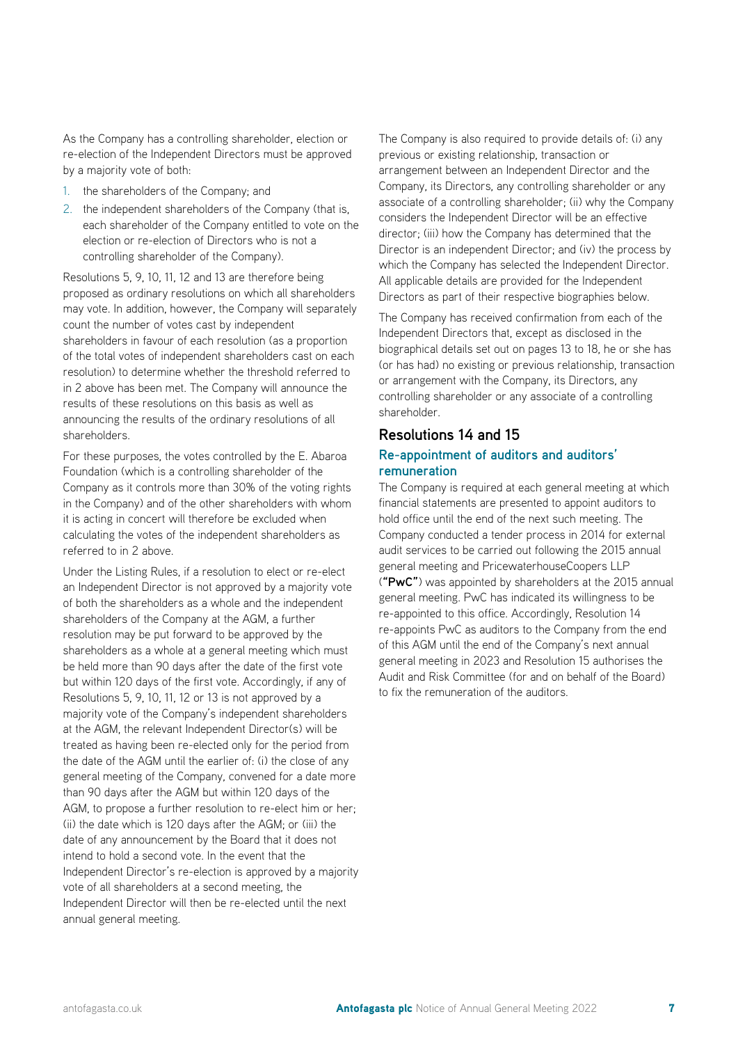As the Company has a controlling shareholder, election or re-election of the Independent Directors must be approved by a majority vote of both:

- 1. the shareholders of the Company; and
- 2. the independent shareholders of the Company (that is, each shareholder of the Company entitled to vote on the election or re-election of Directors who is not a controlling shareholder of the Company).

Resolutions 5, 9, 10, 11, 12 and 13 are therefore being proposed as ordinary resolutions on which all shareholders may vote. In addition, however, the Company will separately count the number of votes cast by independent shareholders in favour of each resolution (as a proportion of the total votes of independent shareholders cast on each resolution) to determine whether the threshold referred to in 2 above has been met. The Company will announce the results of these resolutions on this basis as well as announcing the results of the ordinary resolutions of all shareholders.

For these purposes, the votes controlled by the E. Abaroa Foundation (which is a controlling shareholder of the Company as it controls more than 30% of the voting rights in the Company) and of the other shareholders with whom it is acting in concert will therefore be excluded when calculating the votes of the independent shareholders as referred to in 2 above.

Under the Listing Rules, if a resolution to elect or re-elect an Independent Director is not approved by a majority vote of both the shareholders as a whole and the independent shareholders of the Company at the AGM, a further resolution may be put forward to be approved by the shareholders as a whole at a general meeting which must be held more than 90 days after the date of the first vote but within 120 days of the first vote. Accordingly, if any of Resolutions 5, 9, 10, 11, 12 or 13 is not approved by a majority vote of the Company's independent shareholders at the AGM, the relevant Independent Director(s) will be treated as having been re-elected only for the period from the date of the AGM until the earlier of: (i) the close of any general meeting of the Company, convened for a date more than 90 days after the AGM but within 120 days of the AGM, to propose a further resolution to re-elect him or her; (ii) the date which is 120 days after the AGM; or (iii) the date of any announcement by the Board that it does not intend to hold a second vote. In the event that the Independent Director's re-election is approved by a majority vote of all shareholders at a second meeting, the Independent Director will then be re-elected until the next annual general meeting.

The Company is also required to provide details of: (i) any previous or existing relationship, transaction or arrangement between an Independent Director and the Company, its Directors, any controlling shareholder or any associate of a controlling shareholder; (ii) why the Company considers the Independent Director will be an effective director; (iii) how the Company has determined that the Director is an independent Director; and (iv) the process by which the Company has selected the Independent Director. All applicable details are provided for the Independent Directors as part of their respective biographies below.

The Company has received confirmation from each of the Independent Directors that, except as disclosed in the biographical details set out on pages 13 to 18, he or she has (or has had) no existing or previous relationship, transaction or arrangement with the Company, its Directors, any controlling shareholder or any associate of a controlling shareholder.

#### **Resolutions 14 and 15**

#### **Re-appointment of auditors and auditors' remuneration**

The Company is required at each general meeting at which financial statements are presented to appoint auditors to hold office until the end of the next such meeting. The Company conducted a tender process in 2014 for external audit services to be carried out following the 2015 annual general meeting and PricewaterhouseCoopers LLP (**"PwC"**) was appointed by shareholders at the 2015 annual general meeting. PwC has indicated its willingness to be re-appointed to this office. Accordingly, Resolution 14 re-appoints PwC as auditors to the Company from the end of this AGM until the end of the Company's next annual general meeting in 2023 and Resolution 15 authorises the Audit and Risk Committee (for and on behalf of the Board) to fix the remuneration of the auditors.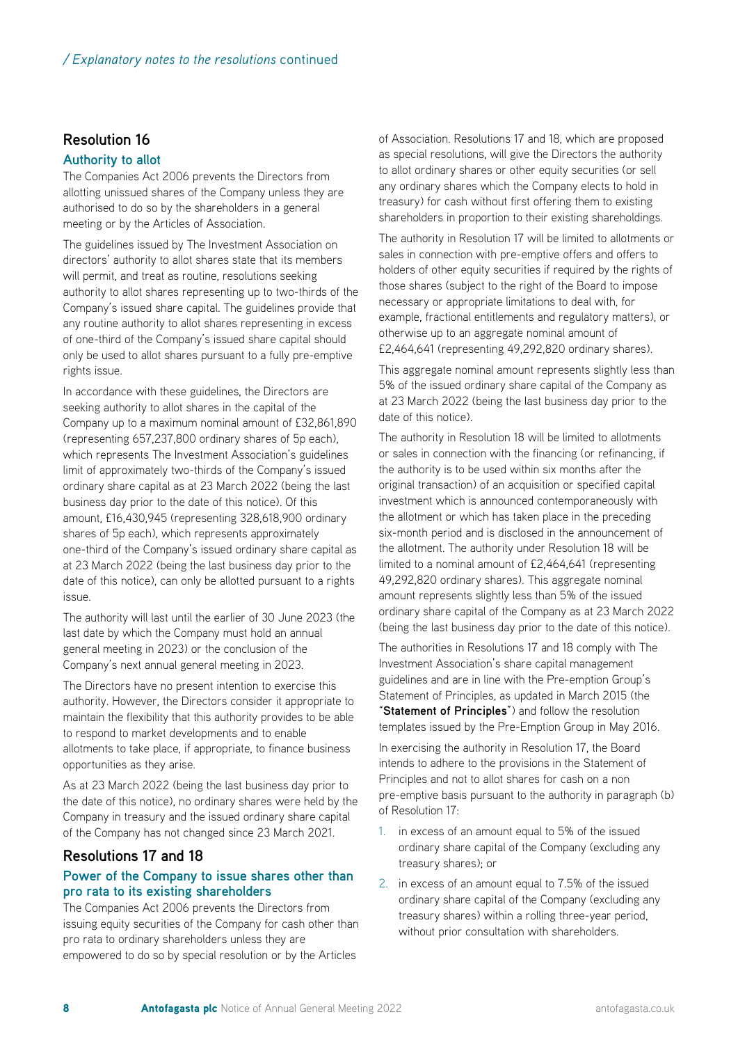#### **Resolution 16**

#### **Authority to allot**

The Companies Act 2006 prevents the Directors from allotting unissued shares of the Company unless they are authorised to do so by the shareholders in a general meeting or by the Articles of Association.

The guidelines issued by The Investment Association on directors' authority to allot shares state that its members will permit, and treat as routine, resolutions seeking authority to allot shares representing up to two-thirds of the Company's issued share capital. The guidelines provide that any routine authority to allot shares representing in excess of one-third of the Company's issued share capital should only be used to allot shares pursuant to a fully pre-emptive rights issue.

In accordance with these guidelines, the Directors are seeking authority to allot shares in the capital of the Company up to a maximum nominal amount of £32,861,890 (representing 657,237,800 ordinary shares of 5p each), which represents The Investment Association's guidelines limit of approximately two-thirds of the Company's issued ordinary share capital as at 23 March 2022 (being the last business day prior to the date of this notice). Of this amount, £16,430,945 (representing 328,618,900 ordinary shares of 5p each), which represents approximately one-third of the Company's issued ordinary share capital as at 23 March 2022 (being the last business day prior to the date of this notice), can only be allotted pursuant to a rights issue.

The authority will last until the earlier of 30 June 2023 (the last date by which the Company must hold an annual general meeting in 2023) or the conclusion of the Company's next annual general meeting in 2023.

The Directors have no present intention to exercise this authority. However, the Directors consider it appropriate to maintain the flexibility that this authority provides to be able to respond to market developments and to enable allotments to take place, if appropriate, to finance business opportunities as they arise.

As at 23 March 2022 (being the last business day prior to the date of this notice), no ordinary shares were held by the Company in treasury and the issued ordinary share capital of the Company has not changed since 23 March 2021.

#### **Resolutions 17 and 18**

#### **Power of the Company to issue shares other than pro rata to its existing shareholders**

The Companies Act 2006 prevents the Directors from issuing equity securities of the Company for cash other than pro rata to ordinary shareholders unless they are empowered to do so by special resolution or by the Articles

of Association. Resolutions 17 and 18, which are proposed as special resolutions, will give the Directors the authority to allot ordinary shares or other equity securities (or sell any ordinary shares which the Company elects to hold in treasury) for cash without first offering them to existing shareholders in proportion to their existing shareholdings.

The authority in Resolution 17 will be limited to allotments or sales in connection with pre-emptive offers and offers to holders of other equity securities if required by the rights of those shares (subject to the right of the Board to impose necessary or appropriate limitations to deal with, for example, fractional entitlements and regulatory matters), or otherwise up to an aggregate nominal amount of £2,464,641 (representing 49,292,820 ordinary shares).

This aggregate nominal amount represents slightly less than 5% of the issued ordinary share capital of the Company as at 23 March 2022 (being the last business day prior to the date of this notice).

The authority in Resolution 18 will be limited to allotments or sales in connection with the financing (or refinancing, if the authority is to be used within six months after the original transaction) of an acquisition or specified capital investment which is announced contemporaneously with the allotment or which has taken place in the preceding six-month period and is disclosed in the announcement of the allotment. The authority under Resolution 18 will be limited to a nominal amount of £2,464,641 (representing 49,292,820 ordinary shares). This aggregate nominal amount represents slightly less than 5% of the issued ordinary share capital of the Company as at 23 March 2022 (being the last business day prior to the date of this notice).

The authorities in Resolutions 17 and 18 comply with The Investment Association's share capital management guidelines and are in line with the Pre-emption Group's Statement of Principles, as updated in March 2015 (the "**Statement of Principles**") and follow the resolution templates issued by the Pre-Emption Group in May 2016.

In exercising the authority in Resolution 17, the Board intends to adhere to the provisions in the Statement of Principles and not to allot shares for cash on a non pre-emptive basis pursuant to the authority in paragraph (b) of Resolution 17:

- 1. in excess of an amount equal to 5% of the issued ordinary share capital of the Company (excluding any treasury shares); or
- 2. in excess of an amount equal to 7.5% of the issued ordinary share capital of the Company (excluding any treasury shares) within a rolling three-year period, without prior consultation with shareholders.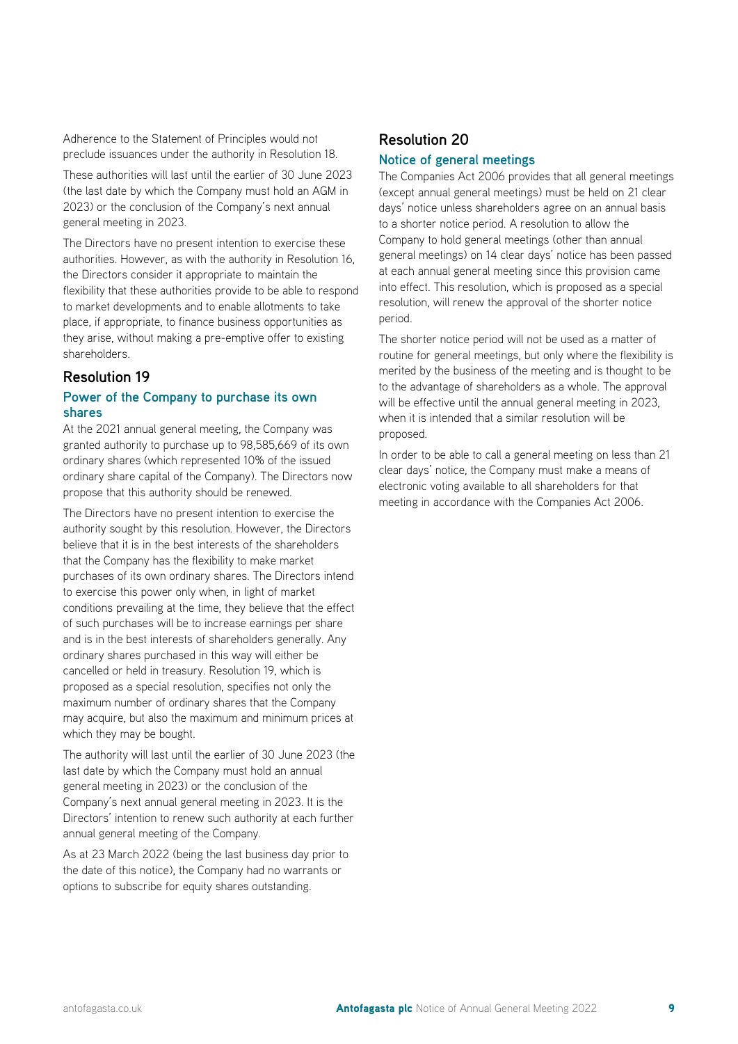Adherence to the Statement of Principles would not preclude issuances under the authority in Resolution 18.

These authorities will last until the earlier of 30 June 2023 (the last date by which the Company must hold an AGM in 2023) or the conclusion of the Company's next annual general meeting in 2023.

The Directors have no present intention to exercise these authorities. However, as with the authority in Resolution 16, the Directors consider it appropriate to maintain the flexibility that these authorities provide to be able to respond to market developments and to enable allotments to take place, if appropriate, to finance business opportunities as they arise, without making a pre-emptive offer to existing shareholders.

#### **Resolution 19**

#### **Power of the Company to purchase its own shares**

At the 2021 annual general meeting, the Company was granted authority to purchase up to 98,585,669 of its own ordinary shares (which represented 10% of the issued ordinary share capital of the Company). The Directors now propose that this authority should be renewed.

The Directors have no present intention to exercise the authority sought by this resolution. However, the Directors believe that it is in the best interests of the shareholders that the Company has the flexibility to make market purchases of its own ordinary shares. The Directors intend to exercise this power only when, in light of market conditions prevailing at the time, they believe that the effect of such purchases will be to increase earnings per share and is in the best interests of shareholders generally. Any ordinary shares purchased in this way will either be cancelled or held in treasury. Resolution 19, which is proposed as a special resolution, specifies not only the maximum number of ordinary shares that the Company may acquire, but also the maximum and minimum prices at which they may be bought.

The authority will last until the earlier of 30 June 2023 (the last date by which the Company must hold an annual general meeting in 2023) or the conclusion of the Company's next annual general meeting in 2023. It is the Directors' intention to renew such authority at each further annual general meeting of the Company.

As at 23 March 2022 (being the last business day prior to the date of this notice), the Company had no warrants or options to subscribe for equity shares outstanding.

#### **Resolution 20**

#### **Notice of general meetings**

The Companies Act 2006 provides that all general meetings (except annual general meetings) must be held on 21 clear days' notice unless shareholders agree on an annual basis to a shorter notice period. A resolution to allow the Company to hold general meetings (other than annual general meetings) on 14 clear days' notice has been passed at each annual general meeting since this provision came into effect. This resolution, which is proposed as a special resolution, will renew the approval of the shorter notice period.

The shorter notice period will not be used as a matter of routine for general meetings, but only where the flexibility is merited by the business of the meeting and is thought to be to the advantage of shareholders as a whole. The approval will be effective until the annual general meeting in 2023, when it is intended that a similar resolution will be proposed.

In order to be able to call a general meeting on less than 21 clear days' notice, the Company must make a means of electronic voting available to all shareholders for that meeting in accordance with the Companies Act 2006.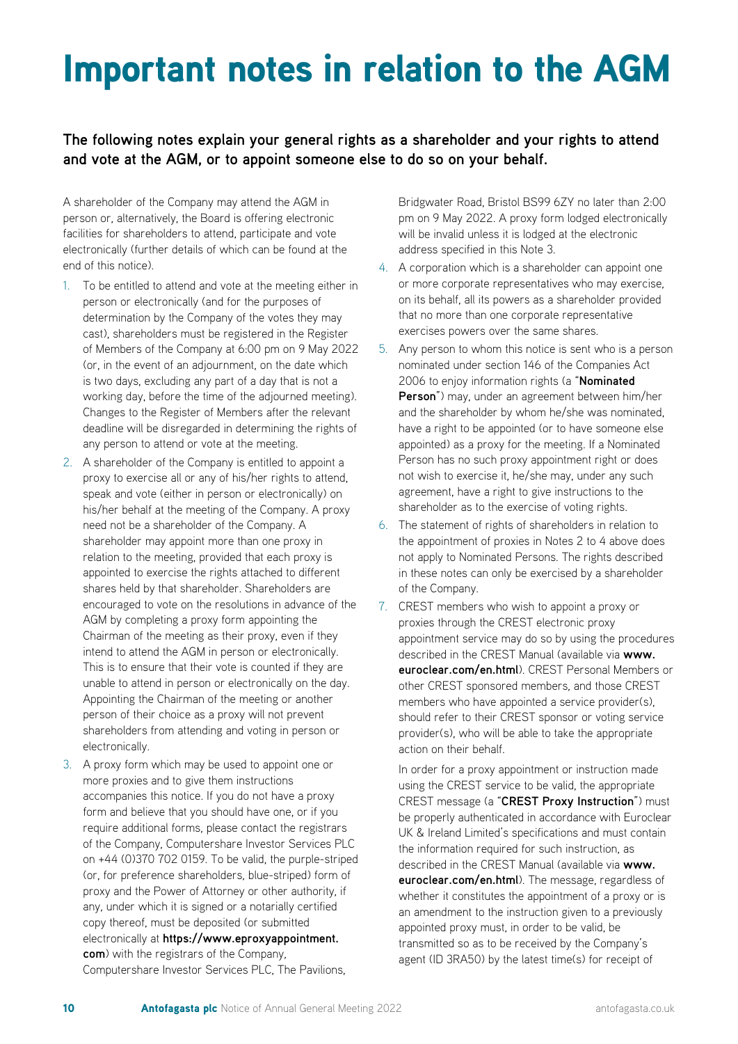### Important notes in relation to the AGM

#### **The following notes explain your general rights as a shareholder and your rights to attend and vote at the AGM, or to appoint someone else to do so on your behalf.**

A shareholder of the Company may attend the AGM in person or, alternatively, the Board is offering electronic facilities for shareholders to attend, participate and vote electronically (further details of which can be found at the end of this notice).

- 1. To be entitled to attend and vote at the meeting either in person or electronically (and for the purposes of determination by the Company of the votes they may cast), shareholders must be registered in the Register of Members of the Company at 6:00 pm on 9 May 2022 (or, in the event of an adjournment, on the date which is two days, excluding any part of a day that is not a working day, before the time of the adjourned meeting). Changes to the Register of Members after the relevant deadline will be disregarded in determining the rights of any person to attend or vote at the meeting.
- 2. A shareholder of the Company is entitled to appoint a proxy to exercise all or any of his/her rights to attend, speak and vote (either in person or electronically) on his/her behalf at the meeting of the Company. A proxy need not be a shareholder of the Company. A shareholder may appoint more than one proxy in relation to the meeting, provided that each proxy is appointed to exercise the rights attached to different shares held by that shareholder. Shareholders are encouraged to vote on the resolutions in advance of the AGM by completing a proxy form appointing the Chairman of the meeting as their proxy, even if they intend to attend the AGM in person or electronically. This is to ensure that their vote is counted if they are unable to attend in person or electronically on the day. Appointing the Chairman of the meeting or another person of their choice as a proxy will not prevent shareholders from attending and voting in person or electronically.
- 3. A proxy form which may be used to appoint one or more proxies and to give them instructions accompanies this notice. If you do not have a proxy form and believe that you should have one, or if you require additional forms, please contact the registrars of the Company, Computershare Investor Services PLC on +44 (0)370 702 0159. To be valid, the purple-striped (or, for preference shareholders, blue-striped) form of proxy and the Power of Attorney or other authority, if any, under which it is signed or a notarially certified copy thereof, must be deposited (or submitted electronically at **https://www.eproxyappointment. com**) with the registrars of the Company, Computershare Investor Services PLC, The Pavilions,

Bridgwater Road, Bristol BS99 6ZY no later than 2:00 pm on 9 May 2022. A proxy form lodged electronically will be invalid unless it is lodged at the electronic address specified in this Note 3.

- 4. A corporation which is a shareholder can appoint one or more corporate representatives who may exercise, on its behalf, all its powers as a shareholder provided that no more than one corporate representative exercises powers over the same shares.
- 5. Any person to whom this notice is sent who is a person nominated under section 146 of the Companies Act 2006 to enjoy information rights (a "**Nominated Person**") may, under an agreement between him/her and the shareholder by whom he/she was nominated, have a right to be appointed (or to have someone else appointed) as a proxy for the meeting. If a Nominated Person has no such proxy appointment right or does not wish to exercise it, he/she may, under any such agreement, have a right to give instructions to the shareholder as to the exercise of voting rights.
- 6. The statement of rights of shareholders in relation to the appointment of proxies in Notes 2 to 4 above does not apply to Nominated Persons. The rights described in these notes can only be exercised by a shareholder of the Company.
- 7. CREST members who wish to appoint a proxy or proxies through the CREST electronic proxy appointment service may do so by using the procedures described in the CREST Manual (available via **www. euroclear.com/en.html**). CREST Personal Members or other CREST sponsored members, and those CREST members who have appointed a service provider(s), should refer to their CREST sponsor or voting service provider(s), who will be able to take the appropriate action on their behalf.

In order for a proxy appointment or instruction made using the CREST service to be valid, the appropriate CREST message (a "**CREST Proxy Instruction**") must be properly authenticated in accordance with Euroclear UK & Ireland Limited's specifications and must contain the information required for such instruction, as described in the CREST Manual (available via **www. euroclear.com/en.html**). The message, regardless of whether it constitutes the appointment of a proxy or is an amendment to the instruction given to a previously appointed proxy must, in order to be valid, be transmitted so as to be received by the Company's agent (ID 3RA50) by the latest time(s) for receipt of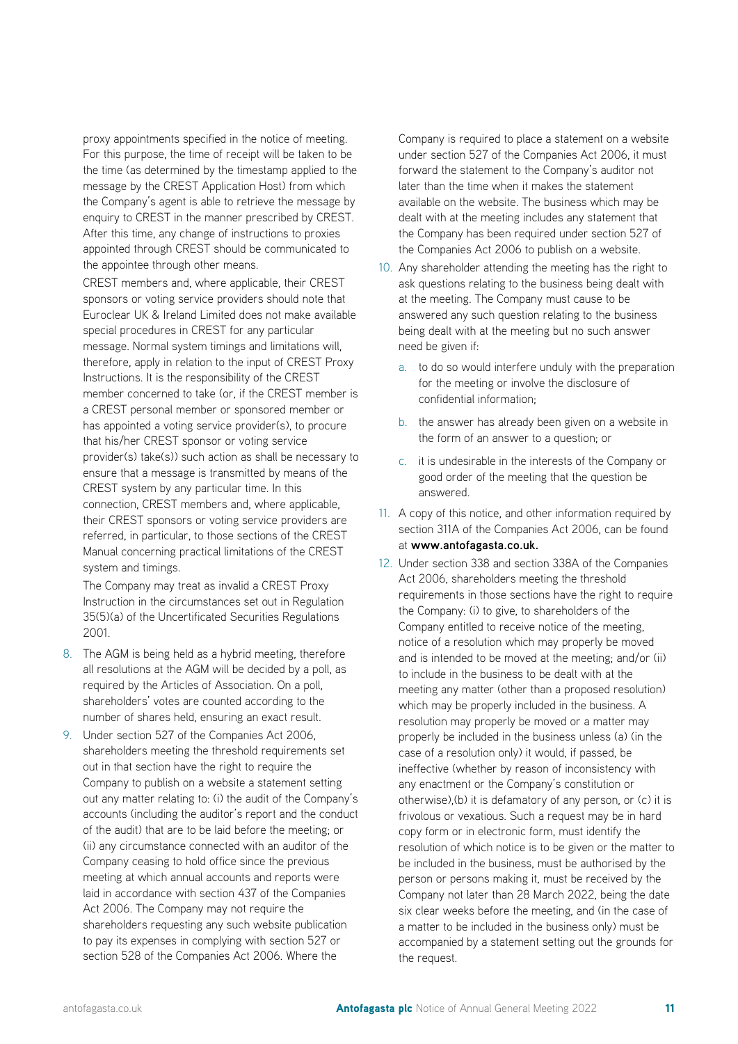proxy appointments specified in the notice of meeting. For this purpose, the time of receipt will be taken to be the time (as determined by the timestamp applied to the message by the CREST Application Host) from which the Company's agent is able to retrieve the message by enquiry to CREST in the manner prescribed by CREST. After this time, any change of instructions to proxies appointed through CREST should be communicated to the appointee through other means.

CREST members and, where applicable, their CREST sponsors or voting service providers should note that Euroclear UK & Ireland Limited does not make available special procedures in CREST for any particular message. Normal system timings and limitations will, therefore, apply in relation to the input of CREST Proxy Instructions. It is the responsibility of the CREST member concerned to take (or, if the CREST member is a CREST personal member or sponsored member or has appointed a voting service provider(s), to procure that his/her CREST sponsor or voting service provider(s) take(s)) such action as shall be necessary to ensure that a message is transmitted by means of the CREST system by any particular time. In this connection, CREST members and, where applicable, their CREST sponsors or voting service providers are referred, in particular, to those sections of the CREST Manual concerning practical limitations of the CREST system and timings.

The Company may treat as invalid a CREST Proxy Instruction in the circumstances set out in Regulation 35(5)(a) of the Uncertificated Securities Regulations 2001.

- 8. The AGM is being held as a hybrid meeting, therefore all resolutions at the AGM will be decided by a poll, as required by the Articles of Association. On a poll, shareholders' votes are counted according to the number of shares held, ensuring an exact result.
- 9. Under section 527 of the Companies Act 2006, shareholders meeting the threshold requirements set out in that section have the right to require the Company to publish on a website a statement setting out any matter relating to: (i) the audit of the Company's accounts (including the auditor's report and the conduct of the audit) that are to be laid before the meeting; or (ii) any circumstance connected with an auditor of the Company ceasing to hold office since the previous meeting at which annual accounts and reports were laid in accordance with section 437 of the Companies Act 2006. The Company may not require the shareholders requesting any such website publication to pay its expenses in complying with section 527 or section 528 of the Companies Act 2006. Where the

Company is required to place a statement on a website under section 527 of the Companies Act 2006, it must forward the statement to the Company's auditor not later than the time when it makes the statement available on the website. The business which may be dealt with at the meeting includes any statement that the Company has been required under section 527 of the Companies Act 2006 to publish on a website.

- 10. Any shareholder attending the meeting has the right to ask questions relating to the business being dealt with at the meeting. The Company must cause to be answered any such question relating to the business being dealt with at the meeting but no such answer need be given if:
	- a. to do so would interfere unduly with the preparation for the meeting or involve the disclosure of confidential information;
	- b. the answer has already been given on a website in the form of an answer to a question; or
	- c. it is undesirable in the interests of the Company or good order of the meeting that the question be answered.
- 11. A copy of this notice, and other information required by section 311A of the Companies Act 2006, can be found at **www.antofagasta.co.uk.**
- 12. Under section 338 and section 338A of the Companies Act 2006, shareholders meeting the threshold requirements in those sections have the right to require the Company: (i) to give, to shareholders of the Company entitled to receive notice of the meeting, notice of a resolution which may properly be moved and is intended to be moved at the meeting; and/or (ii) to include in the business to be dealt with at the meeting any matter (other than a proposed resolution) which may be properly included in the business. A resolution may properly be moved or a matter may properly be included in the business unless (a) (in the case of a resolution only) it would, if passed, be ineffective (whether by reason of inconsistency with any enactment or the Company's constitution or otherwise),(b) it is defamatory of any person, or (c) it is frivolous or vexatious. Such a request may be in hard copy form or in electronic form, must identify the resolution of which notice is to be given or the matter to be included in the business, must be authorised by the person or persons making it, must be received by the Company not later than 28 March 2022, being the date six clear weeks before the meeting, and (in the case of a matter to be included in the business only) must be accompanied by a statement setting out the grounds for the request.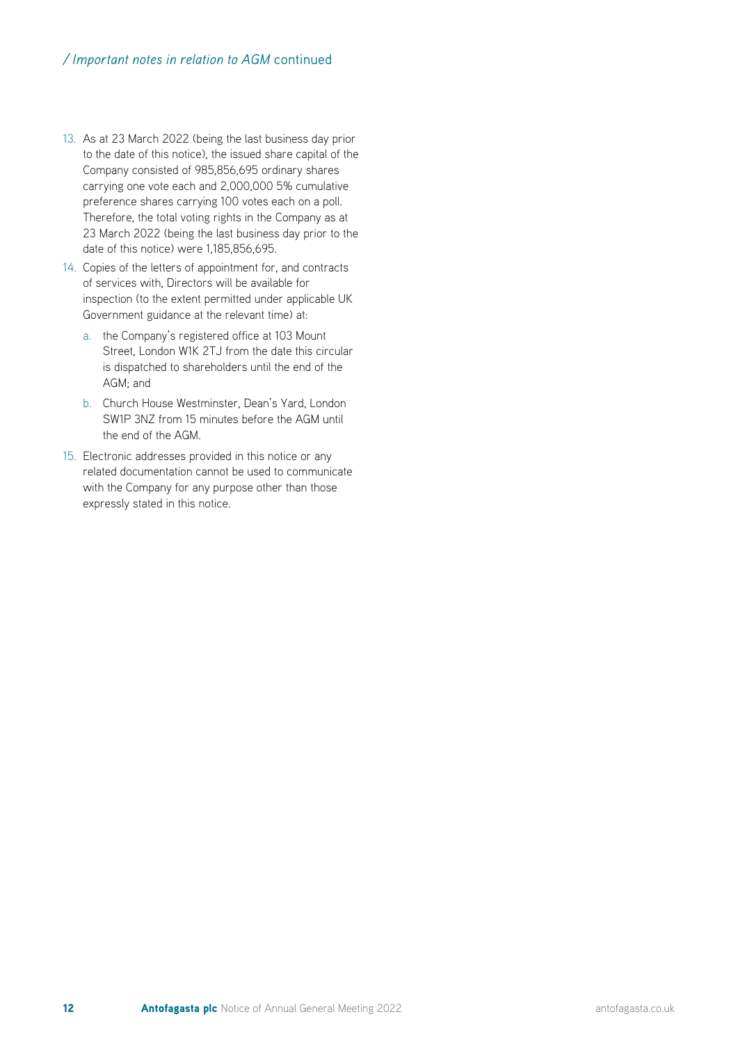- 13. As at 23 March 2022 (being the last business day prior to the date of this notice), the issued share capital of the Company consisted of 985,856,695 ordinary shares carrying one vote each and 2,000,000 5% cumulative preference shares carrying 100 votes each on a poll. Therefore, the total voting rights in the Company as at 23 March 2022 (being the last business day prior to the date of this notice) were 1,185,856,695.
- 14. Copies of the letters of appointment for, and contracts of services with, Directors will be available for inspection (to the extent permitted under applicable UK Government guidance at the relevant time) at:
	- a. the Company's registered office at 103 Mount Street, London W1K 2TJ from the date this circular is dispatched to shareholders until the end of the AGM; and
	- b. Church House Westminster, Dean's Yard, London SW1P 3NZ from 15 minutes before the AGM until the end of the AGM.
- 15. Electronic addresses provided in this notice or any related documentation cannot be used to communicate with the Company for any purpose other than those expressly stated in this notice.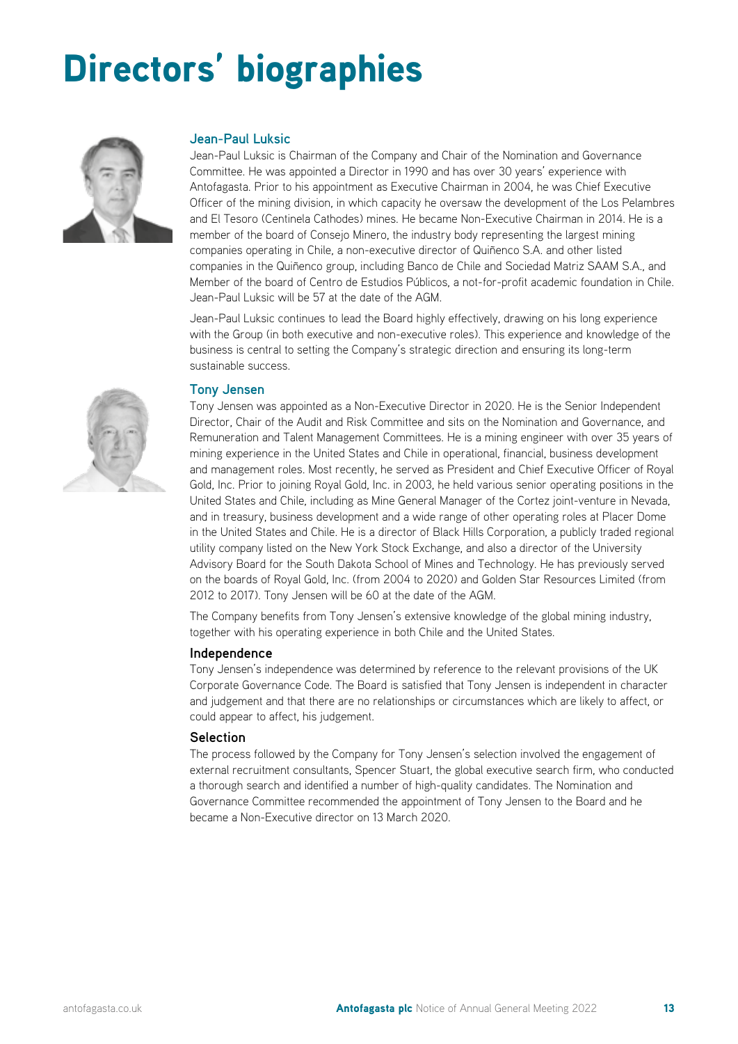# Directors' biographies



#### **Jean-Paul Luksic**

Jean-Paul Luksic is Chairman of the Company and Chair of the Nomination and Governance Committee. He was appointed a Director in 1990 and has over 30 years' experience with Antofagasta. Prior to his appointment as Executive Chairman in 2004, he was Chief Executive Officer of the mining division, in which capacity he oversaw the development of the Los Pelambres and El Tesoro (Centinela Cathodes) mines. He became Non-Executive Chairman in 2014. He is a member of the board of Consejo Minero, the industry body representing the largest mining companies operating in Chile, a non-executive director of Quiñenco S.A. and other listed companies in the Quiñenco group, including Banco de Chile and Sociedad Matriz SAAM S.A., and Member of the board of Centro de Estudios Públicos, a not-for-profit academic foundation in Chile. Jean-Paul Luksic will be 57 at the date of the AGM.

Jean-Paul Luksic continues to lead the Board highly effectively, drawing on his long experience with the Group (in both executive and non-executive roles). This experience and knowledge of the business is central to setting the Company's strategic direction and ensuring its long-term sustainable success.

#### **Tony Jensen**

Tony Jensen was appointed as a Non-Executive Director in 2020. He is the Senior Independent Director, Chair of the Audit and Risk Committee and sits on the Nomination and Governance, and Remuneration and Talent Management Committees. He is a mining engineer with over 35 years of mining experience in the United States and Chile in operational, financial, business development and management roles. Most recently, he served as President and Chief Executive Officer of Royal Gold, Inc. Prior to joining Royal Gold, Inc. in 2003, he held various senior operating positions in the United States and Chile, including as Mine General Manager of the Cortez joint-venture in Nevada, and in treasury, business development and a wide range of other operating roles at Placer Dome in the United States and Chile. He is a director of Black Hills Corporation, a publicly traded regional utility company listed on the New York Stock Exchange, and also a director of the University Advisory Board for the South Dakota School of Mines and Technology. He has previously served on the boards of Royal Gold, Inc. (from 2004 to 2020) and Golden Star Resources Limited (from 2012 to 2017). Tony Jensen will be 60 at the date of the AGM.

The Company benefits from Tony Jensen's extensive knowledge of the global mining industry, together with his operating experience in both Chile and the United States.

#### **Independence**

Tony Jensen's independence was determined by reference to the relevant provisions of the UK Corporate Governance Code. The Board is satisfied that Tony Jensen is independent in character and judgement and that there are no relationships or circumstances which are likely to affect, or could appear to affect, his judgement.

#### **Selection**

The process followed by the Company for Tony Jensen's selection involved the engagement of external recruitment consultants, Spencer Stuart, the global executive search firm, who conducted a thorough search and identified a number of high-quality candidates. The Nomination and Governance Committee recommended the appointment of Tony Jensen to the Board and he became a Non-Executive director on 13 March 2020.

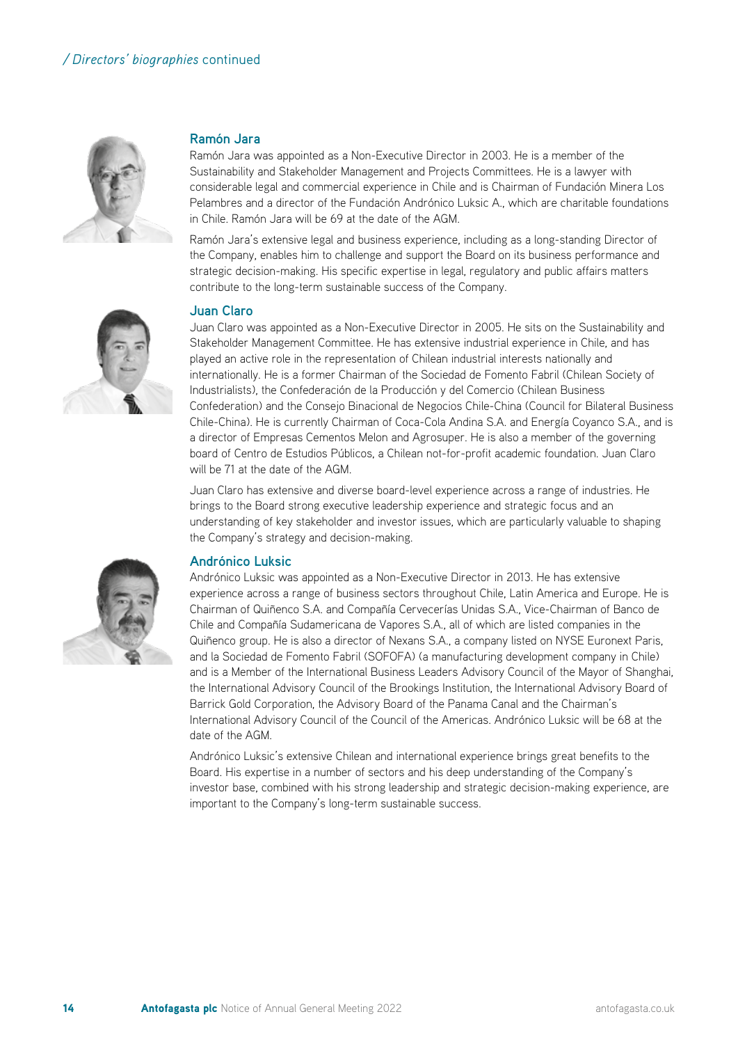

#### **Ramón Jara**

Ramón Jara was appointed as a Non-Executive Director in 2003. He is a member of the Sustainability and Stakeholder Management and Projects Committees. He is a lawyer with considerable legal and commercial experience in Chile and is Chairman of Fundación Minera Los Pelambres and a director of the Fundación Andrónico Luksic A., which are charitable foundations in Chile. Ramón Jara will be 69 at the date of the AGM.

Ramón Jara's extensive legal and business experience, including as a long-standing Director of the Company, enables him to challenge and support the Board on its business performance and strategic decision-making. His specific expertise in legal, regulatory and public affairs matters contribute to the long-term sustainable success of the Company.



#### **Juan Claro**

Juan Claro was appointed as a Non-Executive Director in 2005. He sits on the Sustainability and Stakeholder Management Committee. He has extensive industrial experience in Chile, and has played an active role in the representation of Chilean industrial interests nationally and internationally. He is a former Chairman of the Sociedad de Fomento Fabril (Chilean Society of Industrialists), the Confederación de la Producción y del Comercio (Chilean Business Confederation) and the Consejo Binacional de Negocios Chile-China (Council for Bilateral Business Chile-China). He is currently Chairman of Coca-Cola Andina S.A. and Energía Coyanco S.A., and is a director of Empresas Cementos Melon and Agrosuper. He is also a member of the governing board of Centro de Estudios Públicos, a Chilean not-for-profit academic foundation. Juan Claro will be 71 at the date of the AGM.

Juan Claro has extensive and diverse board-level experience across a range of industries. He brings to the Board strong executive leadership experience and strategic focus and an understanding of key stakeholder and investor issues, which are particularly valuable to shaping the Company's strategy and decision-making.



Andrónico Luksic was appointed as a Non-Executive Director in 2013. He has extensive experience across a range of business sectors throughout Chile, Latin America and Europe. He is Chairman of Quiñenco S.A. and Compañía Cervecerías Unidas S.A., Vice-Chairman of Banco de Chile and Compañía Sudamericana de Vapores S.A., all of which are listed companies in the Quiñenco group. He is also a director of Nexans S.A., a company listed on NYSE Euronext Paris, and la Sociedad de Fomento Fabril (SOFOFA) (a manufacturing development company in Chile) and is a Member of the International Business Leaders Advisory Council of the Mayor of Shanghai, the International Advisory Council of the Brookings Institution, the International Advisory Board of Barrick Gold Corporation, the Advisory Board of the Panama Canal and the Chairman's International Advisory Council of the Council of the Americas. Andrónico Luksic will be 68 at the date of the AGM.

Andrónico Luksic's extensive Chilean and international experience brings great benefits to the Board. His expertise in a number of sectors and his deep understanding of the Company's investor base, combined with his strong leadership and strategic decision-making experience, are important to the Company's long-term sustainable success.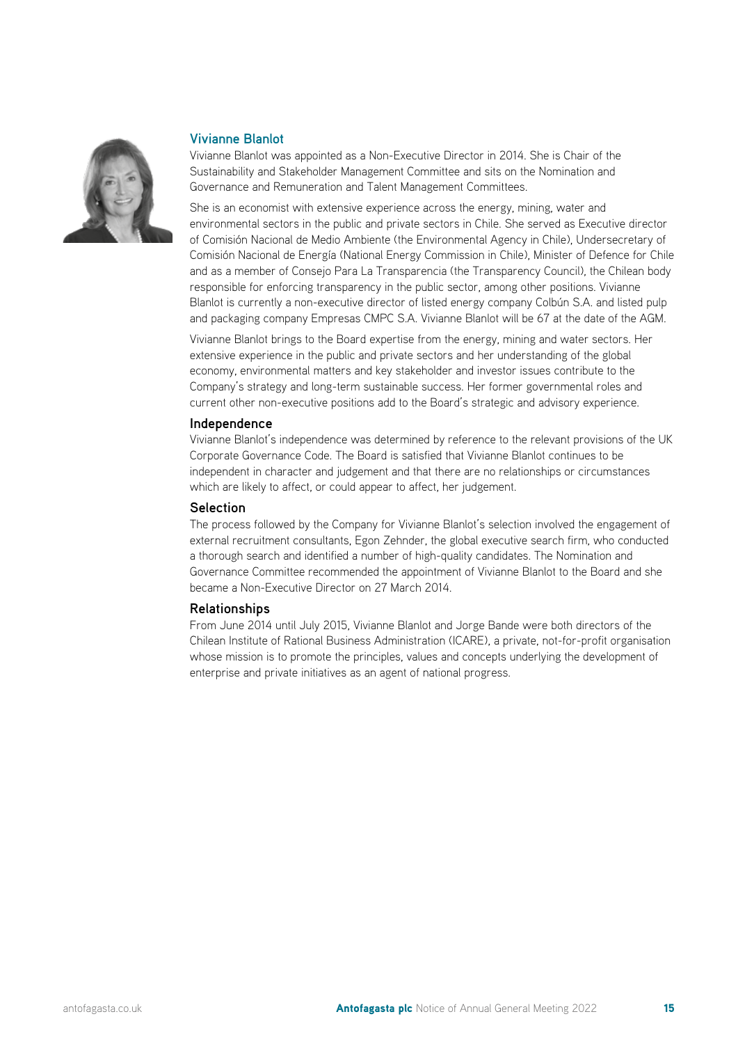

#### **Vivianne Blanlot**

Vivianne Blanlot was appointed as a Non-Executive Director in 2014. She is Chair of the Sustainability and Stakeholder Management Committee and sits on the Nomination and Governance and Remuneration and Talent Management Committees.

She is an economist with extensive experience across the energy, mining, water and environmental sectors in the public and private sectors in Chile. She served as Executive director of Comisión Nacional de Medio Ambiente (the Environmental Agency in Chile), Undersecretary of Comisión Nacional de Energía (National Energy Commission in Chile), Minister of Defence for Chile and as a member of Consejo Para La Transparencia (the Transparency Council), the Chilean body responsible for enforcing transparency in the public sector, among other positions. Vivianne Blanlot is currently a non-executive director of listed energy company Colbún S.A. and listed pulp and packaging company Empresas CMPC S.A. Vivianne Blanlot will be 67 at the date of the AGM.

Vivianne Blanlot brings to the Board expertise from the energy, mining and water sectors. Her extensive experience in the public and private sectors and her understanding of the global economy, environmental matters and key stakeholder and investor issues contribute to the Company's strategy and long-term sustainable success. Her former governmental roles and current other non-executive positions add to the Board's strategic and advisory experience.

#### **Independence**

Vivianne Blanlot's independence was determined by reference to the relevant provisions of the UK Corporate Governance Code. The Board is satisfied that Vivianne Blanlot continues to be independent in character and judgement and that there are no relationships or circumstances which are likely to affect, or could appear to affect, her judgement.

#### **Selection**

The process followed by the Company for Vivianne Blanlot's selection involved the engagement of external recruitment consultants, Egon Zehnder, the global executive search firm, who conducted a thorough search and identified a number of high-quality candidates. The Nomination and Governance Committee recommended the appointment of Vivianne Blanlot to the Board and she became a Non-Executive Director on 27 March 2014.

#### **Relationships**

From June 2014 until July 2015, Vivianne Blanlot and Jorge Bande were both directors of the Chilean Institute of Rational Business Administration (ICARE), a private, not-for-profit organisation whose mission is to promote the principles, values and concepts underlying the development of enterprise and private initiatives as an agent of national progress.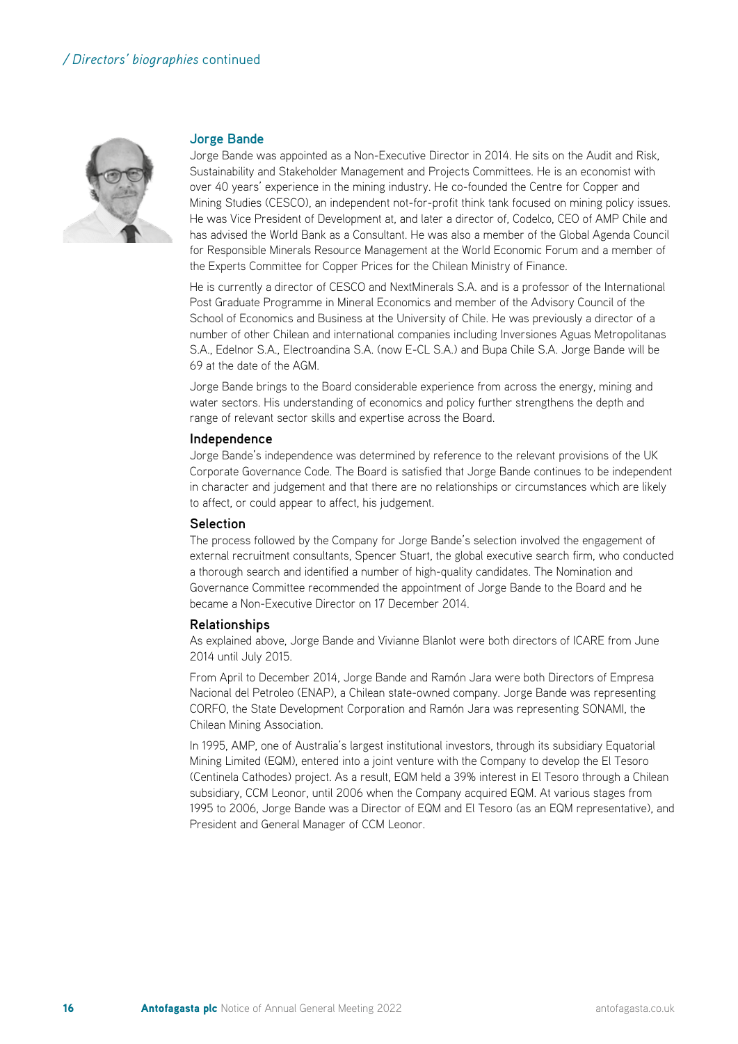

#### **Jorge Bande**

Jorge Bande was appointed as a Non-Executive Director in 2014. He sits on the Audit and Risk, Sustainability and Stakeholder Management and Projects Committees. He is an economist with over 40 years' experience in the mining industry. He co-founded the Centre for Copper and Mining Studies (CESCO), an independent not-for-profit think tank focused on mining policy issues. He was Vice President of Development at, and later a director of, Codelco, CEO of AMP Chile and has advised the World Bank as a Consultant. He was also a member of the Global Agenda Council for Responsible Minerals Resource Management at the World Economic Forum and a member of the Experts Committee for Copper Prices for the Chilean Ministry of Finance.

He is currently a director of CESCO and NextMinerals S.A. and is a professor of the International Post Graduate Programme in Mineral Economics and member of the Advisory Council of the School of Economics and Business at the University of Chile. He was previously a director of a number of other Chilean and international companies including Inversiones Aguas Metropolitanas S.A., Edelnor S.A., Electroandina S.A. (now E-CL S.A.) and Bupa Chile S.A. Jorge Bande will be 69 at the date of the AGM.

Jorge Bande brings to the Board considerable experience from across the energy, mining and water sectors. His understanding of economics and policy further strengthens the depth and range of relevant sector skills and expertise across the Board.

#### **Independence**

Jorge Bande's independence was determined by reference to the relevant provisions of the UK Corporate Governance Code. The Board is satisfied that Jorge Bande continues to be independent in character and judgement and that there are no relationships or circumstances which are likely to affect, or could appear to affect, his judgement.

#### **Selection**

The process followed by the Company for Jorge Bande's selection involved the engagement of external recruitment consultants, Spencer Stuart, the global executive search firm, who conducted a thorough search and identified a number of high-quality candidates. The Nomination and Governance Committee recommended the appointment of Jorge Bande to the Board and he became a Non-Executive Director on 17 December 2014.

#### **Relationships**

As explained above, Jorge Bande and Vivianne Blanlot were both directors of ICARE from June 2014 until July 2015.

From April to December 2014, Jorge Bande and Ramón Jara were both Directors of Empresa Nacional del Petroleo (ENAP), a Chilean state-owned company. Jorge Bande was representing CORFO, the State Development Corporation and Ramón Jara was representing SONAMI, the Chilean Mining Association.

In 1995, AMP, one of Australia's largest institutional investors, through its subsidiary Equatorial Mining Limited (EQM), entered into a joint venture with the Company to develop the El Tesoro (Centinela Cathodes) project. As a result, EQM held a 39% interest in El Tesoro through a Chilean subsidiary, CCM Leonor, until 2006 when the Company acquired EQM. At various stages from 1995 to 2006, Jorge Bande was a Director of EQM and El Tesoro (as an EQM representative), and President and General Manager of CCM Leonor.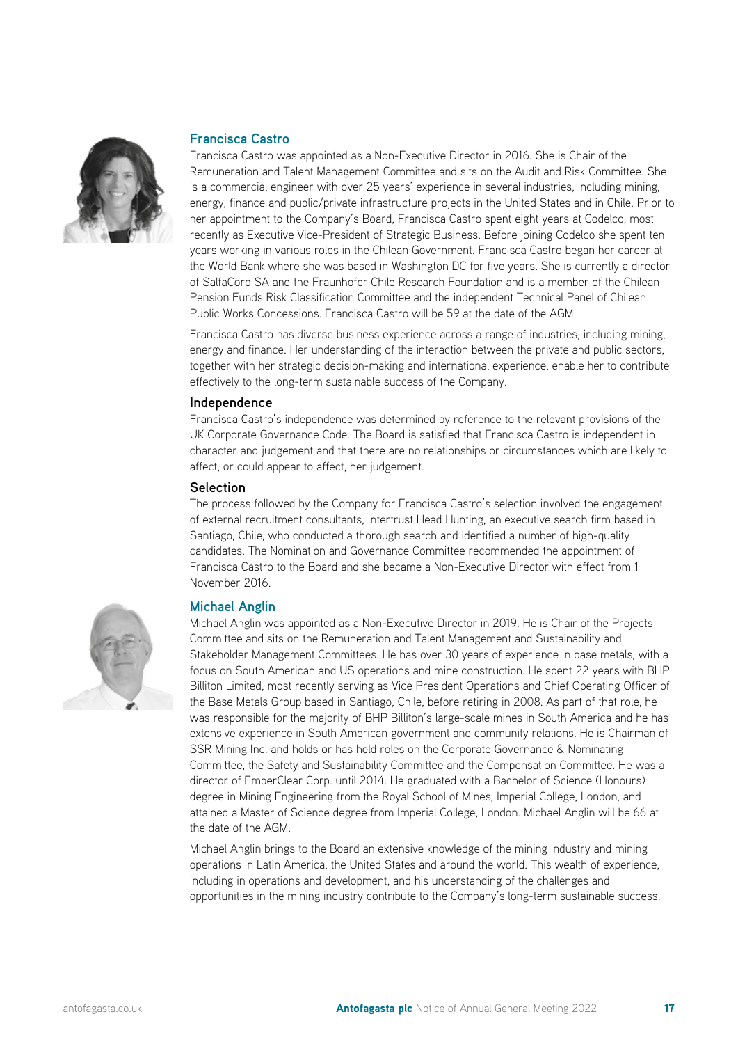

#### **Francisca Castro**

Francisca Castro was appointed as a Non-Executive Director in 2016. She is Chair of the Remuneration and Talent Management Committee and sits on the Audit and Risk Committee. She is a commercial engineer with over 25 years' experience in several industries, including mining, energy, finance and public/private infrastructure projects in the United States and in Chile. Prior to her appointment to the Company's Board, Francisca Castro spent eight years at Codelco, most recently as Executive Vice-President of Strategic Business. Before joining Codelco she spent ten years working in various roles in the Chilean Government. Francisca Castro began her career at the World Bank where she was based in Washington DC for five years. She is currently a director of SalfaCorp SA and the Fraunhofer Chile Research Foundation and is a member of the Chilean Pension Funds Risk Classification Committee and the independent Technical Panel of Chilean Public Works Concessions. Francisca Castro will be 59 at the date of the AGM.

Francisca Castro has diverse business experience across a range of industries, including mining, energy and finance. Her understanding of the interaction between the private and public sectors, together with her strategic decision-making and international experience, enable her to contribute effectively to the long-term sustainable success of the Company.

#### **Independence**

Francisca Castro's independence was determined by reference to the relevant provisions of the UK Corporate Governance Code. The Board is satisfied that Francisca Castro is independent in character and judgement and that there are no relationships or circumstances which are likely to affect, or could appear to affect, her judgement.

#### **Selection**

The process followed by the Company for Francisca Castro's selection involved the engagement of external recruitment consultants, Intertrust Head Hunting, an executive search firm based in Santiago, Chile, who conducted a thorough search and identified a number of high-quality candidates. The Nomination and Governance Committee recommended the appointment of Francisca Castro to the Board and she became a Non-Executive Director with effect from 1 November 2016.



#### **Michael Anglin**

Michael Anglin was appointed as a Non-Executive Director in 2019. He is Chair of the Projects Committee and sits on the Remuneration and Talent Management and Sustainability and Stakeholder Management Committees. He has over 30 years of experience in base metals, with a focus on South American and US operations and mine construction. He spent 22 years with BHP Billiton Limited, most recently serving as Vice President Operations and Chief Operating Officer of the Base Metals Group based in Santiago, Chile, before retiring in 2008. As part of that role, he was responsible for the majority of BHP Billiton's large-scale mines in South America and he has extensive experience in South American government and community relations. He is Chairman of SSR Mining Inc. and holds or has held roles on the Corporate Governance & Nominating Committee, the Safety and Sustainability Committee and the Compensation Committee. He was a director of EmberClear Corp. until 2014. He graduated with a Bachelor of Science (Honours) degree in Mining Engineering from the Royal School of Mines, Imperial College, London, and attained a Master of Science degree from Imperial College, London. Michael Anglin will be 66 at the date of the AGM.

Michael Anglin brings to the Board an extensive knowledge of the mining industry and mining operations in Latin America, the United States and around the world. This wealth of experience, including in operations and development, and his understanding of the challenges and opportunities in the mining industry contribute to the Company's long-term sustainable success.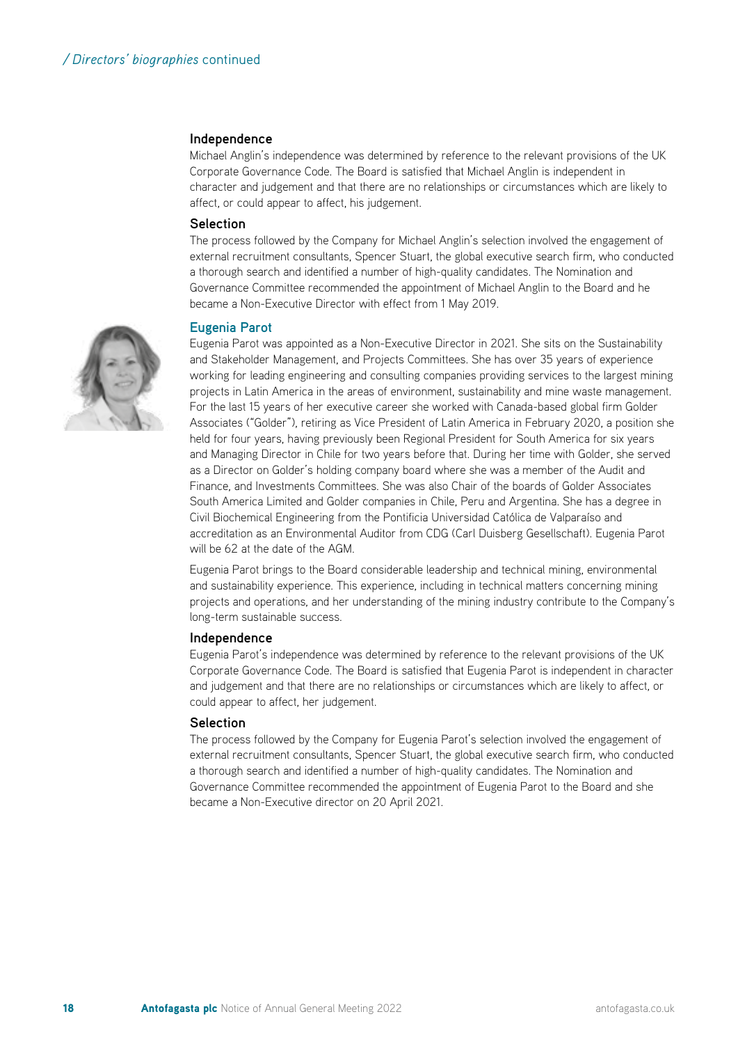#### **Independence**

Michael Anglin's independence was determined by reference to the relevant provisions of the UK Corporate Governance Code. The Board is satisfied that Michael Anglin is independent in character and judgement and that there are no relationships or circumstances which are likely to affect, or could appear to affect, his judgement.

#### **Selection**

The process followed by the Company for Michael Anglin's selection involved the engagement of external recruitment consultants, Spencer Stuart, the global executive search firm, who conducted a thorough search and identified a number of high-quality candidates. The Nomination and Governance Committee recommended the appointment of Michael Anglin to the Board and he became a Non-Executive Director with effect from 1 May 2019.

#### **Eugenia Parot**

Eugenia Parot was appointed as a Non-Executive Director in 2021. She sits on the Sustainability and Stakeholder Management, and Projects Committees. She has over 35 years of experience working for leading engineering and consulting companies providing services to the largest mining projects in Latin America in the areas of environment, sustainability and mine waste management. For the last 15 years of her executive career she worked with Canada-based global firm Golder Associates ("Golder"), retiring as Vice President of Latin America in February 2020, a position she held for four years, having previously been Regional President for South America for six years and Managing Director in Chile for two years before that. During her time with Golder, she served as a Director on Golder's holding company board where she was a member of the Audit and Finance, and Investments Committees. She was also Chair of the boards of Golder Associates South America Limited and Golder companies in Chile, Peru and Argentina. She has a degree in Civil Biochemical Engineering from the Pontificia Universidad Católica de Valparaíso and accreditation as an Environmental Auditor from CDG (Carl Duisberg Gesellschaft). Eugenia Parot will be 62 at the date of the AGM.

Eugenia Parot brings to the Board considerable leadership and technical mining, environmental and sustainability experience. This experience, including in technical matters concerning mining projects and operations, and her understanding of the mining industry contribute to the Company's long-term sustainable success.

#### **Independence**

Eugenia Parot's independence was determined by reference to the relevant provisions of the UK Corporate Governance Code. The Board is satisfied that Eugenia Parot is independent in character and judgement and that there are no relationships or circumstances which are likely to affect, or could appear to affect, her judgement.

#### **Selection**

The process followed by the Company for Eugenia Parot's selection involved the engagement of external recruitment consultants, Spencer Stuart, the global executive search firm, who conducted a thorough search and identified a number of high-quality candidates. The Nomination and Governance Committee recommended the appointment of Eugenia Parot to the Board and she became a Non-Executive director on 20 April 2021.

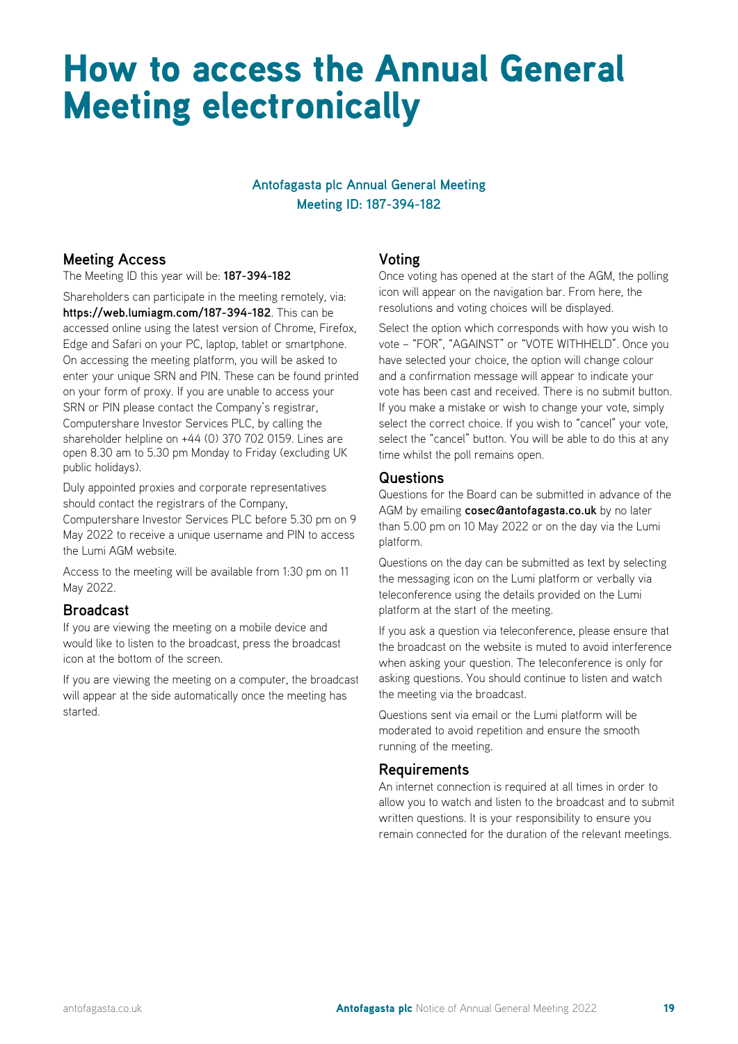### How to access the Annual General Meeting electronically

#### **Antofagasta plc Annual General Meeting Meeting ID: 187-394-182**

#### **Meeting Access**

The Meeting ID this year will be: **187-394-182**

Shareholders can participate in the meeting remotely, via: **https://web.lumiagm.com/187-394-182**. This can be accessed online using the latest version of Chrome, Firefox, Edge and Safari on your PC, laptop, tablet or smartphone. On accessing the meeting platform, you will be asked to enter your unique SRN and PIN. These can be found printed on your form of proxy. If you are unable to access your SRN or PIN please contact the Company's registrar, Computershare Investor Services PLC, by calling the shareholder helpline on +44 (0) 370 702 0159. Lines are open 8.30 am to 5.30 pm Monday to Friday (excluding UK public holidays).

Duly appointed proxies and corporate representatives should contact the registrars of the Company, Computershare Investor Services PLC before 5.30 pm on 9 May 2022 to receive a unique username and PIN to access the Lumi AGM website.

Access to the meeting will be available from 1:30 pm on 11 May 2022.

#### **Broadcast**

If you are viewing the meeting on a mobile device and would like to listen to the broadcast, press the broadcast icon at the bottom of the screen.

If you are viewing the meeting on a computer, the broadcast will appear at the side automatically once the meeting has started.

#### **Voting**

Once voting has opened at the start of the AGM, the polling icon will appear on the navigation bar. From here, the resolutions and voting choices will be displayed.

Select the option which corresponds with how you wish to vote – "FOR", "AGAINST" or "VOTE WITHHELD". Once you have selected your choice, the option will change colour and a confirmation message will appear to indicate your vote has been cast and received. There is no submit button. If you make a mistake or wish to change your vote, simply select the correct choice. If you wish to "cancel" your vote, select the "cancel" button. You will be able to do this at any time whilst the poll remains open.

#### **Questions**

Questions for the Board can be submitted in advance of the AGM by emailing **cosec@antofagasta.co.uk** by no later than 5.00 pm on 10 May 2022 or on the day via the Lumi platform.

Questions on the day can be submitted as text by selecting the messaging icon on the Lumi platform or verbally via teleconference using the details provided on the Lumi platform at the start of the meeting.

If you ask a question via teleconference, please ensure that the broadcast on the website is muted to avoid interference when asking your question. The teleconference is only for asking questions. You should continue to listen and watch the meeting via the broadcast.

Questions sent via email or the Lumi platform will be moderated to avoid repetition and ensure the smooth running of the meeting.

#### **Requirements**

An internet connection is required at all times in order to allow you to watch and listen to the broadcast and to submit written questions. It is your responsibility to ensure you remain connected for the duration of the relevant meetings.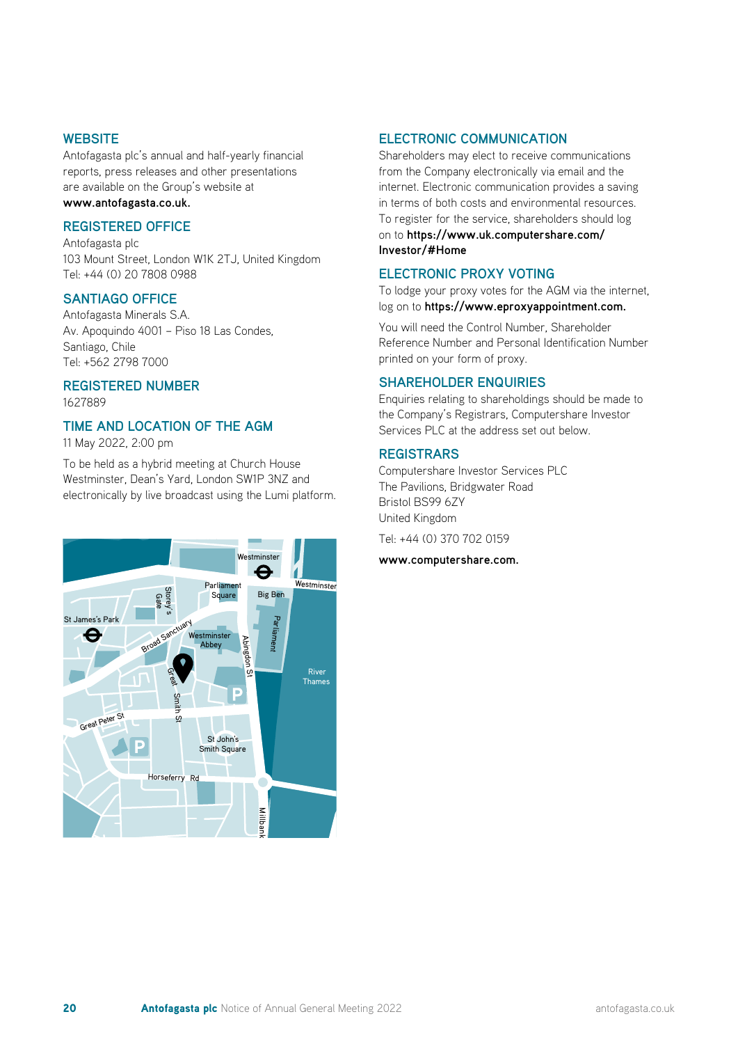#### **WEBSITE**

Antofagasta plc's annual and half-yearly financial reports, press releases and other presentations are available on the Group's website at **www.antofagasta.co.uk.**

#### **REGISTERED OFFICE**

Antofagasta plc 103 Mount Street, London W1K 2TJ, United Kingdom Tel: +44 (0) 20 7808 0988

#### **SANTIAGO OFFICE**

Antofagasta Minerals S.A. Av. Apoquindo 4001 – Piso 18 Las Condes, Santiago, Chile Tel: +562 2798 7000

#### **REGISTERED NUMBER** 1627889

#### **TIME AND LOCATION OF THE AGM**

11 May 2022, 2:00 pm

11 may 2022, 2:00 pm<br>To be held as a hybrid meeting at Church House To be held as a hybrid meeting at Church House<br>Westminster, Dean's Yard, London SW1P 3NZ and electronically by live broadcast using the Lumi platform.



#### **ELECTRONIC COMMUNICATION**

Shareholders may elect to receive communications from the Company electronically via email and the internet. Electronic communication provides a saving in terms of both costs and environmental resources. To register for the service, shareholders should log on to **https://www.uk.computershare.com/ Investor/#Home**

#### **ELECTRONIC PROXY VOTING**

To lodge your proxy votes for the AGM via the internet, log on to **https://www.eproxyappointment.com.**

You will need the Control Number, Shareholder Reference Number and Personal Identification Number printed on your form of proxy.

#### **SHAREHOLDER ENQUIRIES**

Enquiries relating to shareholdings should be made to the Company's Registrars, Computershare Investor Services PLC at the address set out below.

#### **REGISTRARS**

Computershare Investor Services PLC The Pavilions, Bridgwater Road Bristol BS99 6ZY United Kingdom Tel: +44 (0) 370 702 0159

**www.computershare.com.**